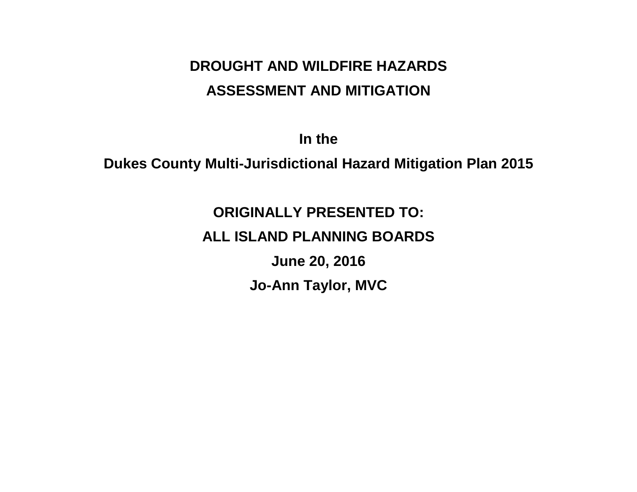# **DROUGHT AND WILDFIRE HAZARDS ASSESSMENT AND MITIGATION**

**In the** 

**Dukes County Multi-Jurisdictional Hazard Mitigation Plan 2015**

# **ORIGINALLY PRESENTED TO: ALL ISLAND PLANNING BOARDS June 20, 2016 Jo-Ann Taylor, MVC**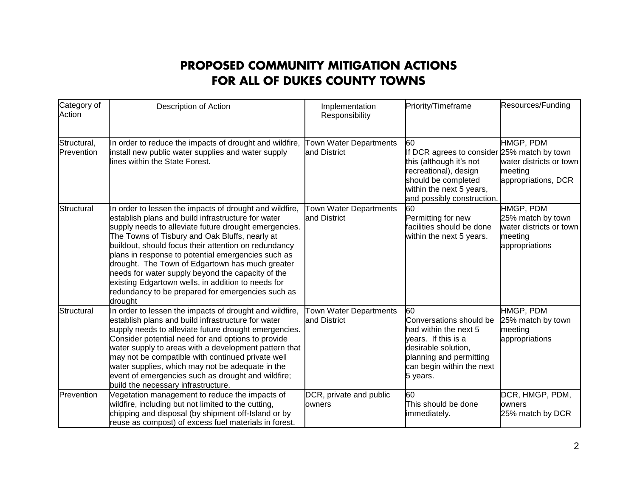### **PROPOSED COMMUNITY MITIGATION ACTIONS FOR ALL OF DUKES COUNTY TOWNS**

| Category of<br>Action     | Description of Action                                                                                                                                                                                                                                                                                                                                                                                                                                                                                                                                                | Implementation<br>Responsibility       | Priority/Timeframe                                                                                                                                                                     | Resources/Funding                                                                      |
|---------------------------|----------------------------------------------------------------------------------------------------------------------------------------------------------------------------------------------------------------------------------------------------------------------------------------------------------------------------------------------------------------------------------------------------------------------------------------------------------------------------------------------------------------------------------------------------------------------|----------------------------------------|----------------------------------------------------------------------------------------------------------------------------------------------------------------------------------------|----------------------------------------------------------------------------------------|
| Structural,<br>Prevention | In order to reduce the impacts of drought and wildfire,<br>install new public water supplies and water supply<br>lines within the State Forest.                                                                                                                                                                                                                                                                                                                                                                                                                      | Town Water Departments<br>and District | 60<br>If DCR agrees to consider 25% match by town<br>this (although it's not<br>recreational), design<br>should be completed<br>within the next 5 years,<br>and possibly construction. | HMGP, PDM<br>water districts or town<br>meeting<br>appropriations, DCR                 |
| Structural                | In order to lessen the impacts of drought and wildfire,<br>establish plans and build infrastructure for water<br>supply needs to alleviate future drought emergencies.<br>The Towns of Tisbury and Oak Bluffs, nearly at<br>buildout, should focus their attention on redundancy<br>plans in response to potential emergencies such as<br>drought. The Town of Edgartown has much greater<br>needs for water supply beyond the capacity of the<br>existing Edgartown wells, in addition to needs for<br>redundancy to be prepared for emergencies such as<br>drought | Town Water Departments<br>and District | 60<br>Permitting for new<br>facilities should be done<br>within the next 5 years.                                                                                                      | HMGP, PDM<br>25% match by town<br>water districts or town<br>meeting<br>appropriations |
| Structural                | In order to lessen the impacts of drought and wildfire,<br>establish plans and build infrastructure for water<br>supply needs to alleviate future drought emergencies.<br>Consider potential need for and options to provide<br>water supply to areas with a development pattern that<br>may not be compatible with continued private well<br>water supplies, which may not be adequate in the<br>event of emergencies such as drought and wildfire;<br>build the necessary infrastructure.                                                                          | Town Water Departments<br>and District | 60<br>Conversations should be<br>had within the next 5<br>years. If this is a<br>desirable solution,<br>planning and permitting<br>can begin within the next<br>5 years.               | HMGP, PDM<br>25% match by town<br>meeting<br>appropriations                            |
| Prevention                | Vegetation management to reduce the impacts of<br>wildfire, including but not limited to the cutting,<br>chipping and disposal (by shipment off-Island or by<br>reuse as compost) of excess fuel materials in forest.                                                                                                                                                                                                                                                                                                                                                | DCR, private and public<br>owners      | 60<br>This should be done<br>immediately.                                                                                                                                              | DCR, HMGP, PDM,<br>owners<br>25% match by DCR                                          |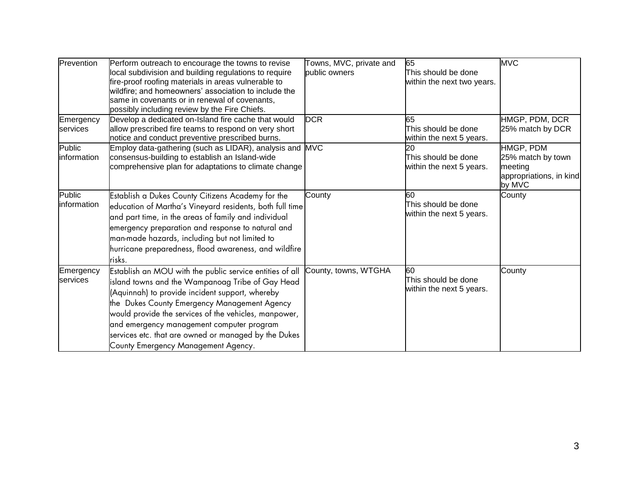| Prevention             | Perform outreach to encourage the towns to revise<br>local subdivision and building regulations to require<br>fire-proof roofing materials in areas vulnerable to<br>wildfire; and homeowners' association to include the<br>same in covenants or in renewal of covenants,<br>possibly including review by the Fire Chiefs.                                                                                          | Towns, MVC, private and<br>public owners | 65<br>This should be done<br>within the next two years. | <b>MVC</b>                                                                     |
|------------------------|----------------------------------------------------------------------------------------------------------------------------------------------------------------------------------------------------------------------------------------------------------------------------------------------------------------------------------------------------------------------------------------------------------------------|------------------------------------------|---------------------------------------------------------|--------------------------------------------------------------------------------|
| Emergency<br>services  | Develop a dedicated on-Island fire cache that would<br>allow prescribed fire teams to respond on very short<br>notice and conduct preventive prescribed burns.                                                                                                                                                                                                                                                       | <b>DCR</b>                               | 65<br>This should be done<br>within the next 5 years.   | HMGP, PDM, DCR<br>25% match by DCR                                             |
| Public<br>information  | Employ data-gathering (such as LIDAR), analysis and MVC<br>consensus-building to establish an Island-wide<br>comprehensive plan for adaptations to climate change                                                                                                                                                                                                                                                    |                                          | 20<br>This should be done<br>within the next 5 years.   | HMGP, PDM<br>25% match by town<br>meeting<br>appropriations, in kind<br>by MVC |
| Public<br>linformation | Establish a Dukes County Citizens Academy for the<br>education of Martha's Vineyard residents, both full time<br>and part time, in the areas of family and individual<br>emergency preparation and response to natural and<br>man-made hazards, including but not limited to<br>hurricane preparedness, flood awareness, and wildfire<br>risks.                                                                      | County                                   | 60<br>This should be done<br>within the next 5 years.   | County                                                                         |
| Emergency<br>services  | Establish an MOU with the public service entities of all<br>island towns and the Wampanoag Tribe of Gay Head<br>(Aquinnah) to provide incident support, whereby<br>the Dukes County Emergency Management Agency<br>would provide the services of the vehicles, manpower,<br>and emergency management computer program<br>services etc. that are owned or managed by the Dukes<br>County Emergency Management Agency. | County, towns, WTGHA                     | 60<br>This should be done<br>within the next 5 years.   | County                                                                         |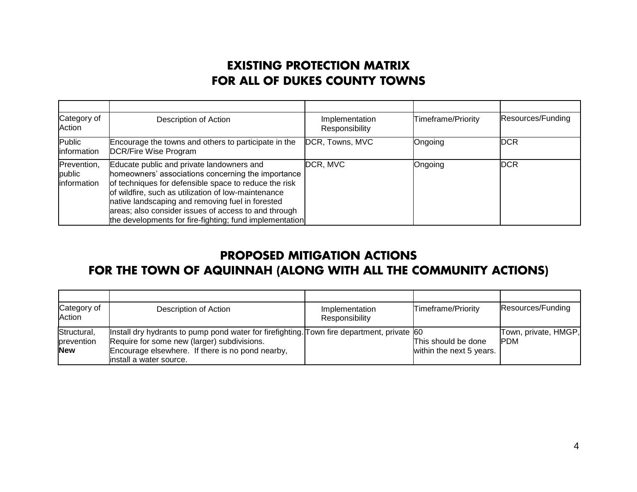### **EXISTING PROTECTION MATRIX FOR ALL OF DUKES COUNTY TOWNS**

| Category of<br>Action                       | Description of Action                                                                                                                                                                                                                                                                                                                                                                  | Implementation<br>Responsibility | Timeframe/Priority | Resources/Funding |
|---------------------------------------------|----------------------------------------------------------------------------------------------------------------------------------------------------------------------------------------------------------------------------------------------------------------------------------------------------------------------------------------------------------------------------------------|----------------------------------|--------------------|-------------------|
| Public<br>information                       | Encourage the towns and others to participate in the<br>DCR/Fire Wise Program                                                                                                                                                                                                                                                                                                          | DCR, Towns, MVC                  | Ongoing            | <b>DCR</b>        |
| Prevention,<br>public<br><b>Information</b> | Educate public and private landowners and<br>homeowners' associations concerning the importance<br>of techniques for defensible space to reduce the risk<br>of wildfire, such as utilization of low-maintenance<br>native landscaping and removing fuel in forested<br>areas; also consider issues of access to and through<br>the developments for fire-fighting; fund implementation | DCR, MVC                         | Ongoing            | <b>DCR</b>        |

### **PROPOSED MITIGATION ACTIONS**

### **FOR THE TOWN OF AQUINNAH (ALONG WITH ALL THE COMMUNITY ACTIONS)**

| Category of<br>Action     | Description of Action                                                                                                                     | Implementation<br>Responsibility | Timeframe/Priority       | Resources/Funding                  |
|---------------------------|-------------------------------------------------------------------------------------------------------------------------------------------|----------------------------------|--------------------------|------------------------------------|
| Structural,<br>prevention | Install dry hydrants to pump pond water for firefighting. Town fire department, private 60<br>Require for some new (larger) subdivisions. |                                  | This should be done      | Town, private, HMGP,<br><b>PDM</b> |
| <b>New</b>                | Encourage elsewhere. If there is no pond nearby,<br>install a water source.                                                               |                                  | within the next 5 years. |                                    |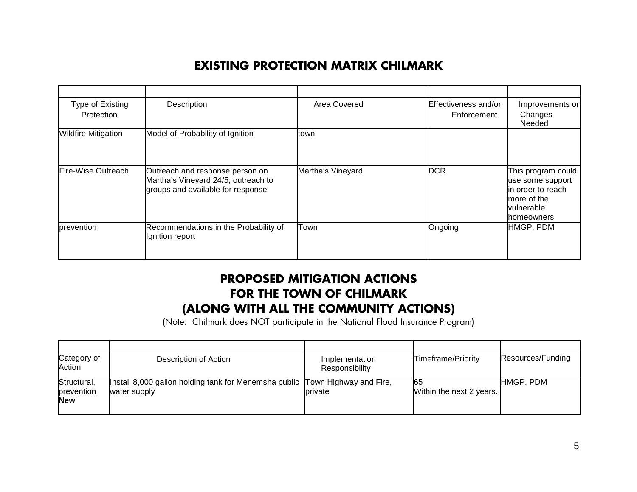### **EXISTING PROTECTION MATRIX CHILMARK**

| Type of Existing<br>Protection | Description                                                                                                 | Area Covered      | Effectiveness and/or<br>Enforcement | Improvements or<br>Changes<br>Needed                                                                   |
|--------------------------------|-------------------------------------------------------------------------------------------------------------|-------------------|-------------------------------------|--------------------------------------------------------------------------------------------------------|
| <b>Wildfire Mitigation</b>     | Model of Probability of Ignition                                                                            | town              |                                     |                                                                                                        |
| Fire-Wise Outreach             | Outreach and response person on<br>Martha's Vineyard 24/5; outreach to<br>groups and available for response | Martha's Vineyard | <b>DCR</b>                          | This program could<br>use some support<br>in order to reach<br>more of the<br>vulnerable<br>homeowners |
| prevention                     | Recommendations in the Probability of<br>Ignition report                                                    | Town              | Ongoing                             | HMGP, PDM                                                                                              |

### **PROPOSED MITIGATION ACTIONS FOR THE TOWN OF CHILMARK (ALONG WITH ALL THE COMMUNITY ACTIONS)**

(Note: Chilmark does NOT participate in the National Flood Insurance Program)

| Category of<br>Action                   | Description of Action                                                                        | Implementation<br>Responsibility | Timeframe/Priority              | Resources/Funding |
|-----------------------------------------|----------------------------------------------------------------------------------------------|----------------------------------|---------------------------------|-------------------|
| Structural,<br>prevention<br><b>New</b> | Install 8,000 gallon holding tank for Menemsha public Town Highway and Fire,<br>water supply | private                          | 165<br>Within the next 2 years. | HMGP, PDM         |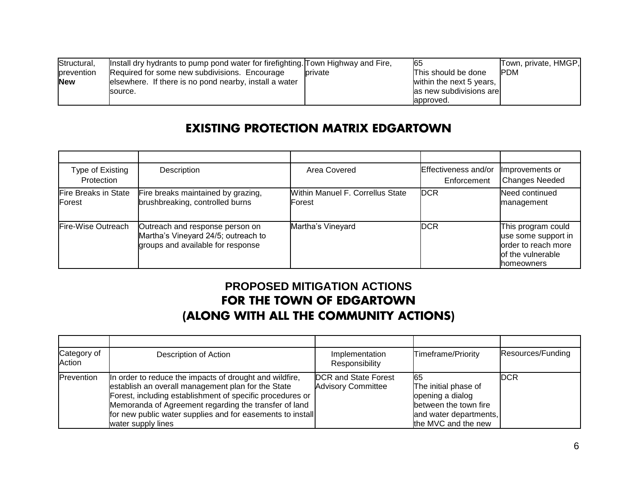| Structural, | linstall dry hydrants to pump pond water for firefighting. Town Highway and Fire, |                | 165                      | Town, private, HMGP, |
|-------------|-----------------------------------------------------------------------------------|----------------|--------------------------|----------------------|
| prevention  | Required for some new subdivisions. Encourage                                     | <b>private</b> | This should be done      | <b>PDM</b>           |
| <b>New</b>  | elsewhere. If there is no pond nearby, install a water                            |                | within the next 5 years, |                      |
|             | source.                                                                           |                | as new subdivisions are  |                      |
|             |                                                                                   |                | lapproved.               |                      |

### **EXISTING PROTECTION MATRIX EDGARTOWN**

| Type of Existing<br>Protection        | Description                                                                                                 | Area Covered                                       | Effectiveness and/or<br>Enforcement | Improvements or<br><b>Changes Needed</b>                                                              |
|---------------------------------------|-------------------------------------------------------------------------------------------------------------|----------------------------------------------------|-------------------------------------|-------------------------------------------------------------------------------------------------------|
| <b>Fire Breaks in State</b><br>Forest | Fire breaks maintained by grazing,<br>brushbreaking, controlled burns                                       | Within Manuel F. Correllus State<br><b>IForest</b> | <b>DCR</b>                          | Need continued<br>management                                                                          |
| Fire-Wise Outreach                    | Outreach and response person on<br>Martha's Vineyard 24/5; outreach to<br>groups and available for response | Martha's Vineyard                                  | <b>IDCR</b>                         | This program could<br>use some support in<br>order to reach more<br>lof the vulnerable<br>Ihomeowners |

### **PROPOSED MITIGATION ACTIONS FOR THE TOWN OF EDGARTOWN (ALONG WITH ALL THE COMMUNITY ACTIONS)**

| Category of<br>Action | Description of Action                                                                                                                                                                                                                                                                                                   | Implementation<br>Responsibility                         | Timeframe/Priority                                                                                                        | Resources/Funding |
|-----------------------|-------------------------------------------------------------------------------------------------------------------------------------------------------------------------------------------------------------------------------------------------------------------------------------------------------------------------|----------------------------------------------------------|---------------------------------------------------------------------------------------------------------------------------|-------------------|
| Prevention            | In order to reduce the impacts of drought and wildfire,<br>establish an overall management plan for the State<br>Forest, including establishment of specific procedures or<br>Memoranda of Agreement regarding the transfer of land<br>for new public water supplies and for easements to install<br>water supply lines | <b>DCR</b> and State Forest<br><b>Advisory Committee</b> | 165<br>The initial phase of<br>opening a dialog<br>between the town fire<br>and water departments,<br>the MVC and the new | <b>IDCR</b>       |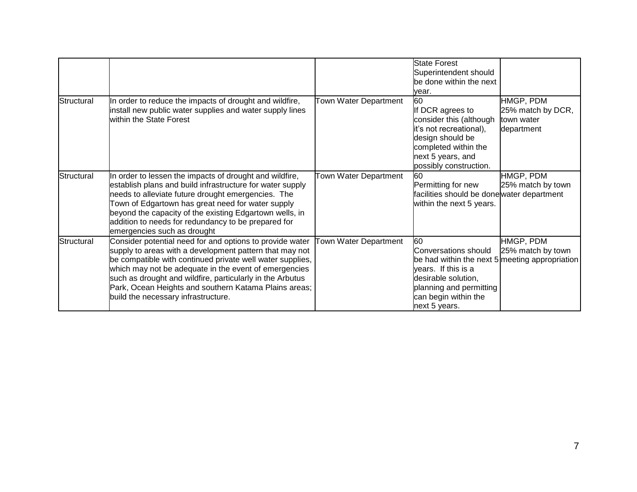|            |                                                                                                                                                                                                                                                                                                                                                                                                        |                       | <b>State Forest</b><br>Superintendent should<br>be done within the next<br>vear.                                                                                                               |                                                            |
|------------|--------------------------------------------------------------------------------------------------------------------------------------------------------------------------------------------------------------------------------------------------------------------------------------------------------------------------------------------------------------------------------------------------------|-----------------------|------------------------------------------------------------------------------------------------------------------------------------------------------------------------------------------------|------------------------------------------------------------|
| Structural | In order to reduce the impacts of drought and wildfire,<br>install new public water supplies and water supply lines<br>within the State Forest                                                                                                                                                                                                                                                         | Town Water Department | 60<br>If DCR agrees to<br>consider this (although<br>it's not recreational),<br>design should be<br>completed within the<br>next 5 years, and<br>possibly construction.                        | HMGP, PDM<br>25% match by DCR,<br>town water<br>department |
| Structural | In order to lessen the impacts of drought and wildfire,<br>establish plans and build infrastructure for water supply<br>needs to alleviate future drought emergencies. The<br>Town of Edgartown has great need for water supply<br>beyond the capacity of the existing Edgartown wells, in<br>addition to needs for redundancy to be prepared for<br>emergencies such as drought                       | Town Water Department | 60<br>Permitting for new<br>facilities should be donewater department<br>within the next 5 years.                                                                                              | HMGP, PDM<br>25% match by town                             |
| Structural | Consider potential need for and options to provide water<br>supply to areas with a development pattern that may not<br>be compatible with continued private well water supplies,<br>which may not be adequate in the event of emergencies<br>such as drought and wildfire, particularly in the Arbutus<br>Park, Ocean Heights and southern Katama Plains areas;<br>build the necessary infrastructure. | Town Water Department | 60<br>Conversations should<br>be had within the next 5 meeting appropriation<br>vears. If this is a<br>desirable solution,<br>planning and permitting<br>can begin within the<br>next 5 years. | HMGP, PDM<br>25% match by town                             |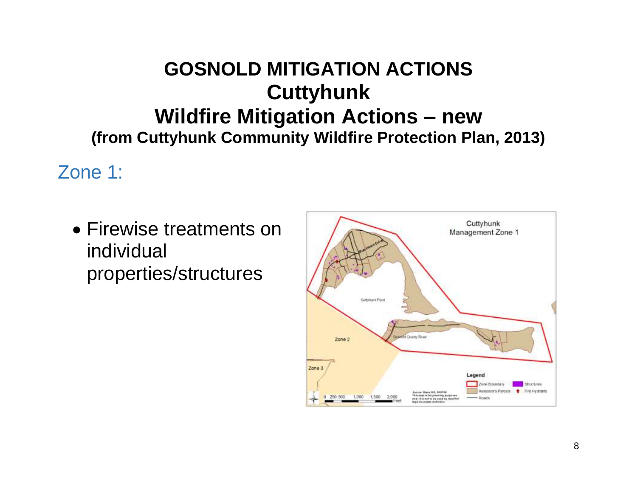# **GOSNOLD MITIGATION ACTIONS Cuttyhunk Wildfire Mitigation Actions – new (from Cuttyhunk Community Wildfire Protection Plan, 2013)**

Zone 1:

 Firewise treatments on individual properties/structures

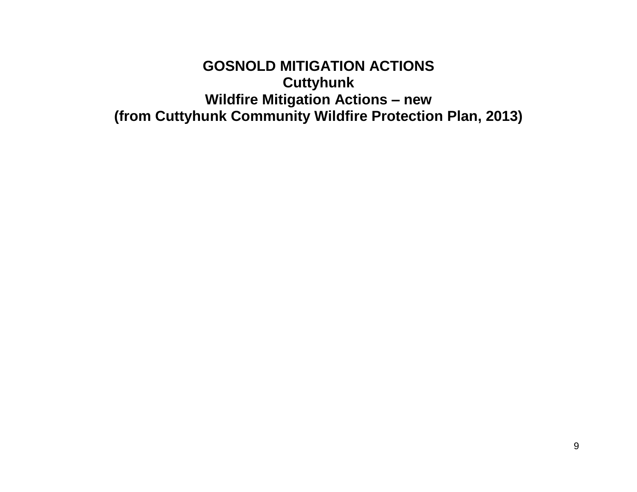**GOSNOLD MITIGATION ACTIONS Cuttyhunk Wildfire Mitigation Actions – new (from Cuttyhunk Community Wildfire Protection Plan, 2013)**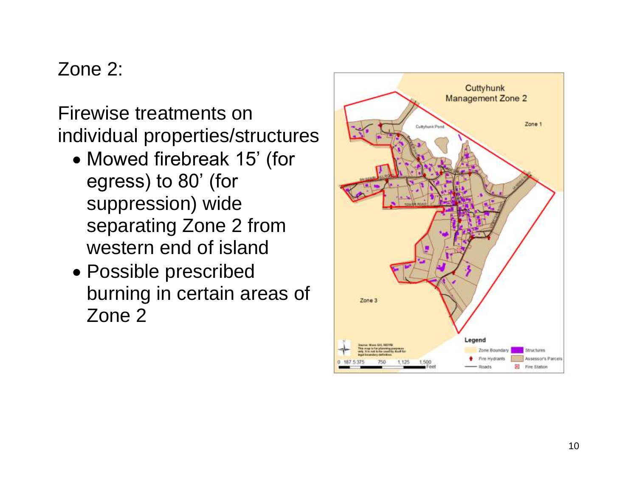# Zone 2:

Firewise treatments on individual properties/structures

- Mowed firebreak 15' (for egress) to 80' (for suppression) wide separating Zone 2 from western end of island
- Possible prescribed burning in certain areas of Zone 2

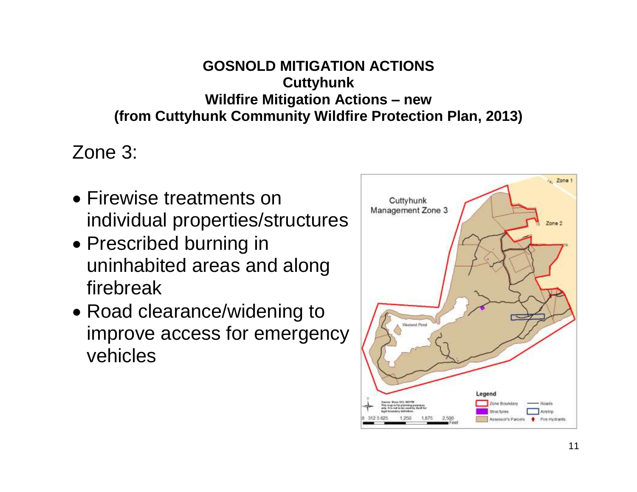# **GOSNOLD MITIGATION ACTIONS Cuttyhunk Wildfire Mitigation Actions – new (from Cuttyhunk Community Wildfire Protection Plan, 2013)**

Zone 3:

- Firewise treatments on individual properties/structures
- Prescribed burning in uninhabited areas and along firebreak
- Road clearance/widening to improve access for emergency vehicles

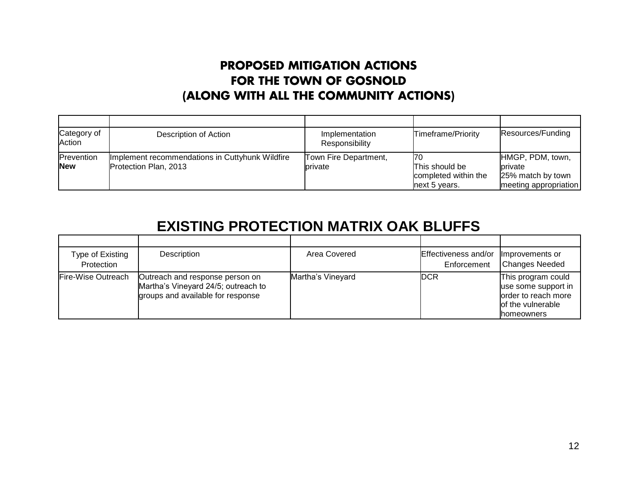### **PROPOSED MITIGATION ACTIONS FOR THE TOWN OF GOSNOLD (ALONG WITH ALL THE COMMUNITY ACTIONS)**

| Category of<br>Action    | Description of Action                                                    | Implementation<br>Responsibility | Timeframe/Priority                                             | Resources/Funding                                                         |
|--------------------------|--------------------------------------------------------------------------|----------------------------------|----------------------------------------------------------------|---------------------------------------------------------------------------|
| Prevention<br><b>New</b> | Implement recommendations in Cuttyhunk Wildfire<br>Protection Plan, 2013 | Town Fire Department,<br>private | 170<br>This should be<br>completed within the<br>next 5 years. | HMGP, PDM, town,<br>private<br>25% match by town<br>meeting appropriation |

# **EXISTING PROTECTION MATRIX OAK BLUFFS**

| Type of Existing<br>Protection | Description                                                                                                 | Area Covered      | Effectiveness and/or<br>Enforcement | Improvements or<br><b>Changes Needed</b>                                                                    |
|--------------------------------|-------------------------------------------------------------------------------------------------------------|-------------------|-------------------------------------|-------------------------------------------------------------------------------------------------------------|
| Fire-Wise Outreach             | Outreach and response person on<br>Martha's Vineyard 24/5; outreach to<br>groups and available for response | Martha's Vineyard | <b>DCR</b>                          | This program could<br>use some support in<br>order to reach more<br>of the vulnerable<br><b>Ihomeowners</b> |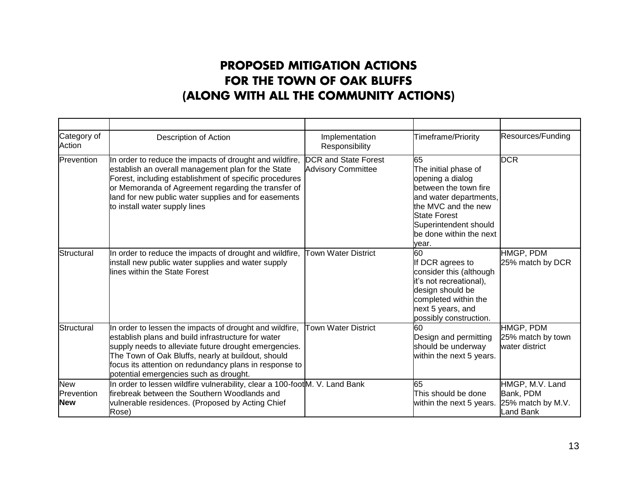### **PROPOSED MITIGATION ACTIONS FOR THE TOWN OF OAK BLUFFS (ALONG WITH ALL THE COMMUNITY ACTIONS)**

| Category of<br>Action                  | Description of Action                                                                                                                                                                                                                                                                                                            | Implementation<br>Responsibility                         | <b>Timeframe/Priority</b>                                                                                                                                                                                    | Resources/Funding                                              |
|----------------------------------------|----------------------------------------------------------------------------------------------------------------------------------------------------------------------------------------------------------------------------------------------------------------------------------------------------------------------------------|----------------------------------------------------------|--------------------------------------------------------------------------------------------------------------------------------------------------------------------------------------------------------------|----------------------------------------------------------------|
| Prevention                             | In order to reduce the impacts of drought and wildfire,<br>establish an overall management plan for the State<br>Forest, including establishment of specific procedures<br>or Memoranda of Agreement regarding the transfer of<br>land for new public water supplies and for easements<br>to install water supply lines          | <b>DCR</b> and State Forest<br><b>Advisory Committee</b> | 65<br>The initial phase of<br>opening a dialog<br>between the town fire<br>and water departments,<br>the MVC and the new<br><b>State Forest</b><br>Superintendent should<br>be done within the next<br>vear. | <b>DCR</b>                                                     |
| Structural                             | In order to reduce the impacts of drought and wildfire,<br>install new public water supplies and water supply<br>lines within the State Forest                                                                                                                                                                                   | <b>Town Water District</b>                               | 60<br>If DCR agrees to<br>consider this (although<br>it's not recreational),<br>design should be<br>completed within the<br>next 5 years, and<br>possibly construction.                                      | HMGP, PDM<br>25% match by DCR                                  |
| Structural                             | In order to lessen the impacts of drought and wildfire,<br>establish plans and build infrastructure for water<br>supply needs to alleviate future drought emergencies.<br>The Town of Oak Bluffs, nearly at buildout, should<br>focus its attention on redundancy plans in response to<br>potential emergencies such as drought. | <b>Town Water District</b>                               | 60<br>Design and permitting<br>should be underway<br>within the next 5 years.                                                                                                                                | HMGP, PDM<br>25% match by town<br>water district               |
| <b>New</b><br>Prevention<br><b>New</b> | In order to lessen wildfire vulnerability, clear a 100-foot M. V. Land Bank<br>firebreak between the Southern Woodlands and<br>vulnerable residences. (Proposed by Acting Chief<br>Rose)                                                                                                                                         |                                                          | 65<br>This should be done<br>within the next 5 years.                                                                                                                                                        | HMGP, M.V. Land<br>Bank, PDM<br>25% match by M.V.<br>Land Bank |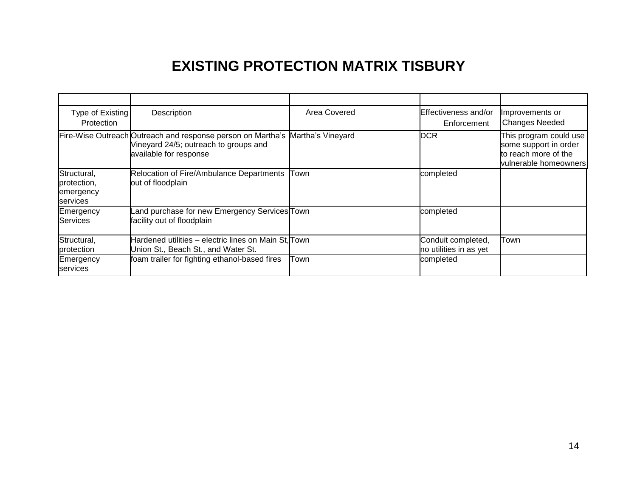# **EXISTING PROTECTION MATRIX TISBURY**

| Type of Existing<br>Protection                      | Description                                                                                                                    | Area Covered      | Effectiveness and/or<br>Enforcement          | Improvements or<br><b>Changes Needed</b>                                                         |
|-----------------------------------------------------|--------------------------------------------------------------------------------------------------------------------------------|-------------------|----------------------------------------------|--------------------------------------------------------------------------------------------------|
|                                                     | Fire-Wise Outreach Outreach and response person on Martha's<br>Vineyard 24/5; outreach to groups and<br>available for response | Martha's Vineyard | <b>DCR</b>                                   | This program could use<br>some support in order<br>to reach more of the<br>vulnerable homeowners |
| Structural,<br>protection,<br>emergency<br>services | Relocation of Fire/Ambulance Departments<br>out of floodplain                                                                  | Town              | completed                                    |                                                                                                  |
| Emergency<br>Services                               | Land purchase for new Emergency Services Town<br>facility out of floodplain                                                    |                   | completed                                    |                                                                                                  |
| Structural,<br>protection                           | Hardened utilities – electric lines on Main St, Town<br>Union St., Beach St., and Water St.                                    |                   | Conduit completed,<br>no utilities in as yet | Town                                                                                             |
| Emergency<br>services                               | foam trailer for fighting ethanol-based fires                                                                                  | Town              | completed                                    |                                                                                                  |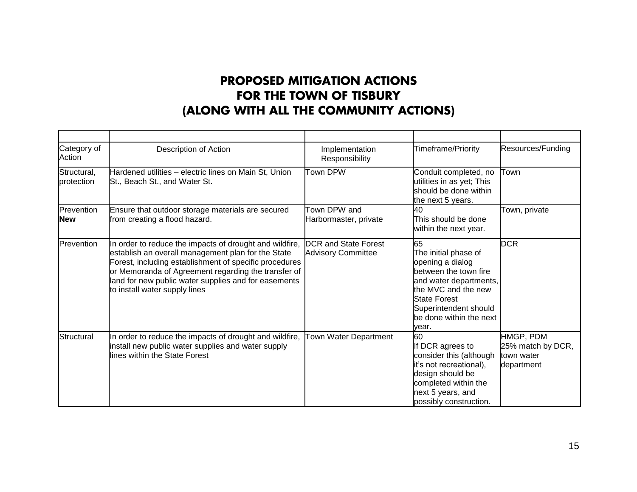### **PROPOSED MITIGATION ACTIONS FOR THE TOWN OF TISBURY (ALONG WITH ALL THE COMMUNITY ACTIONS)**

| Category of<br>Action     | Description of Action                                                                                                                                                                                                                                                                                                   | Implementation<br>Responsibility                         | Timeframe/Priority                                                                                                                                                                                           | Resources/Funding                                          |
|---------------------------|-------------------------------------------------------------------------------------------------------------------------------------------------------------------------------------------------------------------------------------------------------------------------------------------------------------------------|----------------------------------------------------------|--------------------------------------------------------------------------------------------------------------------------------------------------------------------------------------------------------------|------------------------------------------------------------|
| Structural,<br>protection | Hardened utilities - electric lines on Main St, Union<br>St., Beach St., and Water St.                                                                                                                                                                                                                                  | <b>Town DPW</b>                                          | Conduit completed, no<br>utilities in as yet; This<br>should be done within<br>the next 5 years.                                                                                                             | Town                                                       |
| Prevention<br><b>New</b>  | Ensure that outdoor storage materials are secured<br>from creating a flood hazard.                                                                                                                                                                                                                                      | Town DPW and<br>Harbormaster, private                    | 40<br>This should be done<br>within the next year.                                                                                                                                                           | Town, private                                              |
| Prevention                | In order to reduce the impacts of drought and wildfire,<br>establish an overall management plan for the State<br>Forest, including establishment of specific procedures<br>or Memoranda of Agreement regarding the transfer of<br>land for new public water supplies and for easements<br>to install water supply lines | <b>DCR</b> and State Forest<br><b>Advisory Committee</b> | 65<br>The initial phase of<br>opening a dialog<br>between the town fire<br>and water departments,<br>the MVC and the new<br><b>State Forest</b><br>Superintendent should<br>be done within the next<br>year. | <b>DCR</b>                                                 |
| Structural                | In order to reduce the impacts of drought and wildfire,<br>install new public water supplies and water supply<br>lines within the State Forest                                                                                                                                                                          | Town Water Department                                    | 60<br>If DCR agrees to<br>consider this (although<br>it's not recreational),<br>design should be<br>completed within the<br>next 5 years, and<br>possibly construction.                                      | HMGP, PDM<br>25% match by DCR,<br>town water<br>department |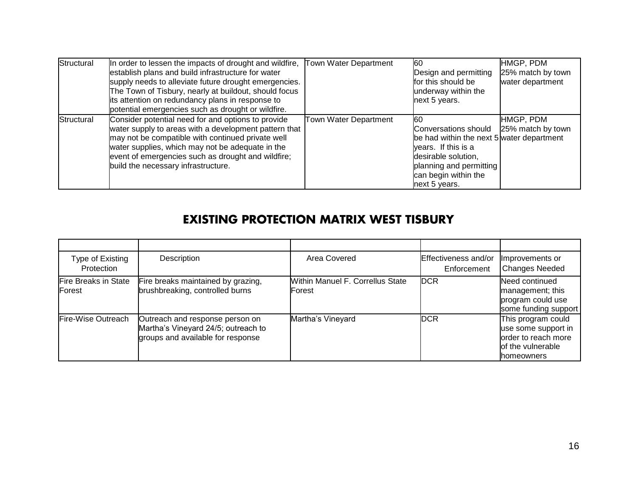| Structural | In order to lessen the impacts of drought and wildfire, Town Water Department<br>establish plans and build infrastructure for water<br>supply needs to alleviate future drought emergencies.<br>The Town of Tisbury, nearly at buildout, should focus<br>its attention on redundancy plans in response to<br>potential emergencies such as drought or wildfire. |                       | 60<br>Design and permitting<br>for this should be<br>underway within the<br>next 5 years.                                                                                                 | HMGP, PDM<br>25% match by town<br>water department |
|------------|-----------------------------------------------------------------------------------------------------------------------------------------------------------------------------------------------------------------------------------------------------------------------------------------------------------------------------------------------------------------|-----------------------|-------------------------------------------------------------------------------------------------------------------------------------------------------------------------------------------|----------------------------------------------------|
| Structural | Consider potential need for and options to provide<br>water supply to areas with a development pattern that<br>may not be compatible with continued private well<br>water supplies, which may not be adequate in the<br>event of emergencies such as drought and wildfire;<br>build the necessary infrastructure.                                               | Town Water Department | 60<br>Conversations should<br>be had within the next 5 water department<br>vears. If this is a<br>desirable solution,<br>planning and permitting<br>can begin within the<br>next 5 years. | HMGP, PDM<br>25% match by town                     |

### **EXISTING PROTECTION MATRIX WEST TISBURY**

| Type of Existing<br>Protection                | Description                                                                                                 | Area Covered                               | <b>Effectiveness and/or</b><br>Enforcement | Improvements or<br><b>Changes Needed</b>                                                             |
|-----------------------------------------------|-------------------------------------------------------------------------------------------------------------|--------------------------------------------|--------------------------------------------|------------------------------------------------------------------------------------------------------|
| <b>Fire Breaks in State</b><br><b>IForest</b> | Fire breaks maintained by grazing,<br>brushbreaking, controlled burns                                       | Within Manuel F. Correllus State<br>Forest | <b>DCR</b>                                 | Need continued<br>management; this<br>program could use<br>some funding support                      |
| Fire-Wise Outreach                            | Outreach and response person on<br>Martha's Vineyard 24/5; outreach to<br>groups and available for response | Martha's Vineyard                          | <b>DCR</b>                                 | This program could<br>use some support in<br>order to reach more<br>of the vulnerable<br>Ihomeowners |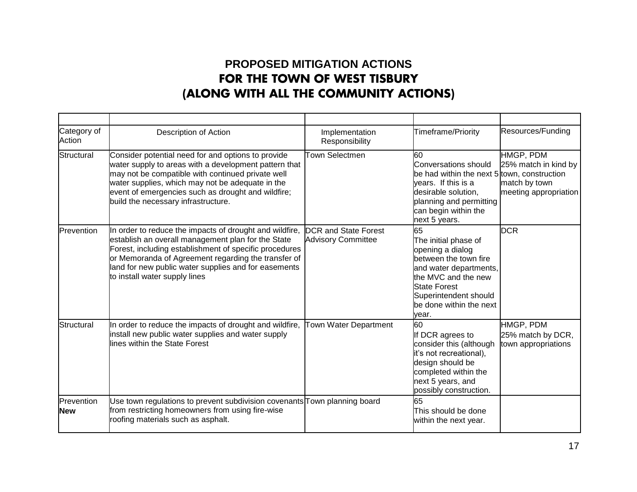### **PROPOSED MITIGATION ACTIONS FOR THE TOWN OF WEST TISBURY (ALONG WITH ALL THE COMMUNITY ACTIONS)**

| Category of<br>Action    | <b>Description of Action</b>                                                                                                                                                                                                                                                                                            | Implementation<br>Responsibility                         | Timeframe/Priority                                                                                                                                                                                           | Resources/Funding                                                           |
|--------------------------|-------------------------------------------------------------------------------------------------------------------------------------------------------------------------------------------------------------------------------------------------------------------------------------------------------------------------|----------------------------------------------------------|--------------------------------------------------------------------------------------------------------------------------------------------------------------------------------------------------------------|-----------------------------------------------------------------------------|
| Structural               | Consider potential need for and options to provide<br>water supply to areas with a development pattern that<br>may not be compatible with continued private well<br>water supplies, which may not be adequate in the<br>event of emergencies such as drought and wildfire;<br>build the necessary infrastructure.       | <b>Town Selectmen</b>                                    | <b>60</b><br>Conversations should<br>be had within the next 5 town, construction<br>years. If this is a<br>desirable solution,<br>planning and permitting<br>can begin within the<br>next 5 years.           | HMGP, PDM<br>25% match in kind by<br>match by town<br>meeting appropriation |
| Prevention               | In order to reduce the impacts of drought and wildfire,<br>establish an overall management plan for the State<br>Forest, including establishment of specific procedures<br>or Memoranda of Agreement regarding the transfer of<br>land for new public water supplies and for easements<br>to install water supply lines | <b>DCR</b> and State Forest<br><b>Advisory Committee</b> | 65<br>The initial phase of<br>opening a dialog<br>between the town fire<br>and water departments,<br>the MVC and the new<br><b>State Forest</b><br>Superintendent should<br>be done within the next<br>vear. | <b>DCR</b>                                                                  |
| Structural               | In order to reduce the impacts of drought and wildfire,<br>install new public water supplies and water supply<br>lines within the State Forest                                                                                                                                                                          | Town Water Department                                    | 60<br>If DCR agrees to<br>consider this (although<br>it's not recreational),<br>design should be<br>completed within the<br>next 5 years, and<br>possibly construction.                                      | HMGP, PDM<br>25% match by DCR,<br>town appropriations                       |
| Prevention<br><b>New</b> | Use town regulations to prevent subdivision covenants Town planning board<br>from restricting homeowners from using fire-wise<br>roofing materials such as asphalt.                                                                                                                                                     |                                                          | 65<br>This should be done<br>within the next year.                                                                                                                                                           |                                                                             |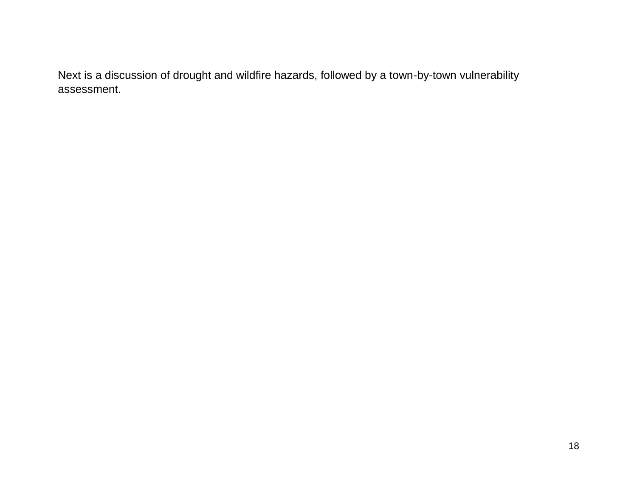Next is a discussion of drought and wildfire hazards, followed by a town-by-town vulnerability assessment.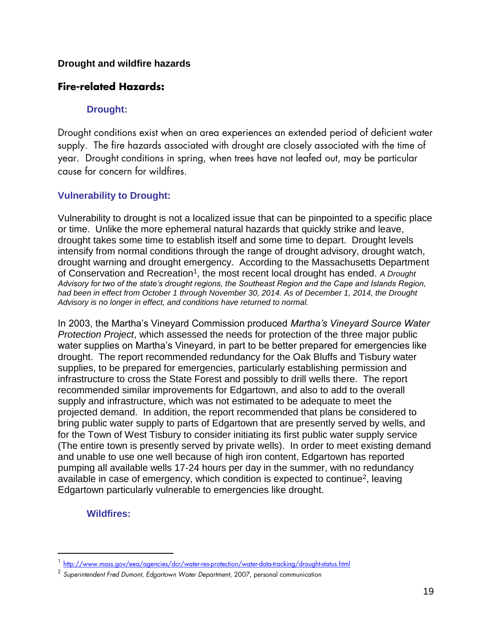#### **Drought and wildfire hazards**

#### **Fire-related Hazards:**

#### **Drought:**

Drought conditions exist when an area experiences an extended period of deficient water supply. The fire hazards associated with drought are closely associated with the time of year. Drought conditions in spring, when trees have not leafed out, may be particular cause for concern for wildfires.

#### **Vulnerability to Drought:**

Vulnerability to drought is not a localized issue that can be pinpointed to a specific place or time. Unlike the more ephemeral natural hazards that quickly strike and leave, drought takes some time to establish itself and some time to depart. Drought levels intensify from normal conditions through the range of drought advisory, drought watch, drought warning and drought emergency. According to the Massachusetts Department of Conservation and Recreation<sup>1</sup>, the most recent local drought has ended. A Drought *Advisory for two of the state's drought regions, the Southeast Region and the Cape and Islands Region, had been in effect from October 1 through November 30, 2014. As of December 1, 2014, the Drought Advisory is no longer in effect, and conditions have returned to normal.*

In 2003, the Martha's Vineyard Commission produced *Martha's Vineyard Source Water Protection Project*, which assessed the needs for protection of the three major public water supplies on Martha's Vineyard, in part to be better prepared for emergencies like drought. The report recommended redundancy for the Oak Bluffs and Tisbury water supplies, to be prepared for emergencies, particularly establishing permission and infrastructure to cross the State Forest and possibly to drill wells there. The report recommended similar improvements for Edgartown, and also to add to the overall supply and infrastructure, which was not estimated to be adequate to meet the projected demand. In addition, the report recommended that plans be considered to bring public water supply to parts of Edgartown that are presently served by wells, and for the Town of West Tisbury to consider initiating its first public water supply service (The entire town is presently served by private wells). In order to meet existing demand and unable to use one well because of high iron content, Edgartown has reported pumping all available wells 17-24 hours per day in the summer, with no redundancy available in case of emergency, which condition is expected to continue<sup>2</sup>, leaving Edgartown particularly vulnerable to emergencies like drought.

#### **Wildfires:**

 $\overline{a}$ 

<sup>&</sup>lt;sup>1</sup> <http://www.mass.gov/eea/agencies/dcr/water-res-protection/water-data-tracking/drought-status.html>

<sup>2</sup> *Superintendent Fred Dumont, Edgartown Water Department,* 2007, personal communication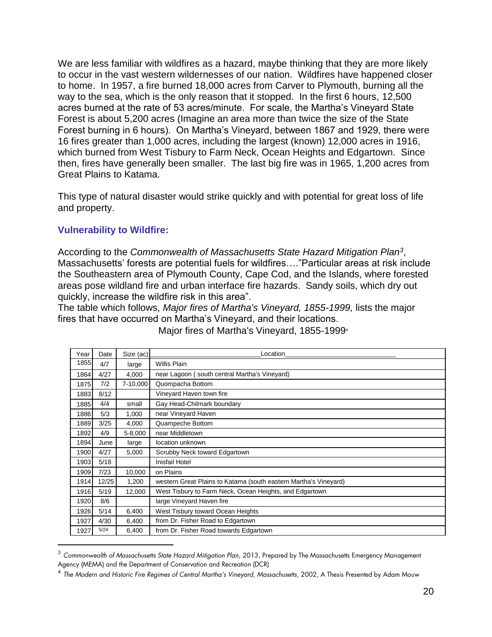We are less familiar with wildfires as a hazard, maybe thinking that they are more likely to occur in the vast western wildernesses of our nation. Wildfires have happened closer to home. In 1957, a fire burned 18,000 acres from Carver to Plymouth, burning all the way to the sea, which is the only reason that it stopped. In the first 6 hours, 12,500 acres burned at the rate of 53 acres/minute. For scale, the Martha's Vineyard State Forest is about 5,200 acres (Imagine an area more than twice the size of the State Forest burning in 6 hours). On Martha's Vineyard, between 1867 and 1929, there were 16 fires greater than 1,000 acres, including the largest (known) 12,000 acres in 1916, which burned from West Tisbury to Farm Neck, Ocean Heights and Edgartown. Since then, fires have generally been smaller. The last big fire was in 1965, 1,200 acres from Great Plains to Katama.

This type of natural disaster would strike quickly and with potential for great loss of life and property.

#### **Vulnerability to Wildfire:**

 $\overline{a}$ 

According to the *Commonwealth of Massachusetts State Hazard Mitigation Plan<sup>3</sup>* , Massachusetts' forests are potential fuels for wildfires…."Particular areas at risk include the Southeastern area of Plymouth County, Cape Cod, and the Islands, where forested areas pose wildland fire and urban interface fire hazards. Sandy soils, which dry out quickly, increase the wildfire risk in this area".

The table which follows, *Major fires of Martha's Vineyard, 1855-1999,* lists the major fires that have occurred on Martha's Vineyard, and their locations.

| Year | Date  | Size (ac) | -ocation                                                         |
|------|-------|-----------|------------------------------------------------------------------|
| 1855 | 4/7   | large     | <b>Willis Plain</b>                                              |
| 1864 | 4/27  | 4,000     | near Lagoon (south central Martha's Vineyard)                    |
| 1875 | 7/2   | 7-10,000  | Quompacha Bottom                                                 |
| 1883 | 8/12  |           | Vineyard Haven town fire                                         |
| 1885 | 4/4   | small     | Gay Head-Chilmark boundary                                       |
| 1886 | 5/3   | 1,000     | near Vineyard Haven                                              |
| 1889 | 3/25  | 4,000     | Quampeche Bottom                                                 |
| 1892 | 4/9   | 5-8,000   | near Middletown                                                  |
| 1894 | June  | large     | location unknown                                                 |
| 1900 | 4/27  | 5,000     | Scrubby Neck toward Edgartown                                    |
| 1903 | 5/18  |           | <b>Inisfail Hotel</b>                                            |
| 1909 | 7/23  | 10,000    | on Plains                                                        |
| 1914 | 12/25 | 1,200     | western Great Plains to Katama (south eastern Martha's Vineyard) |
| 1916 | 5/19  | 12,000    | West Tisbury to Farm Neck, Ocean Heights, and Edgartown          |
| 1920 | 8/6   |           | large Vineyard Haven fire                                        |
| 1926 | 5/14  | 6,400     | West Tisbury toward Ocean Heights                                |
| 1927 | 4/30  | 6,400     | from Dr. Fisher Road to Edgartown                                |
| 1927 | 5/24  | 6,400     | from Dr. Fisher Road towards Edgartown                           |

Major fires of Martha's Vineyard, 1855-1999<sup>4</sup>

<sup>3</sup> *Commonwealth of Massachusetts State Hazard Mitigation Plan,* 2013, Prepared by The Massachusetts Emergency Management Agency (MEMA) and the Department of Conservation and Recreation (DCR)

<sup>&</sup>lt;sup>4</sup> The Modern and Historic Fire Regimes of Central Martha's Vineyard, Massachusetts, 2002, A Thesis Presented by Adam Mouw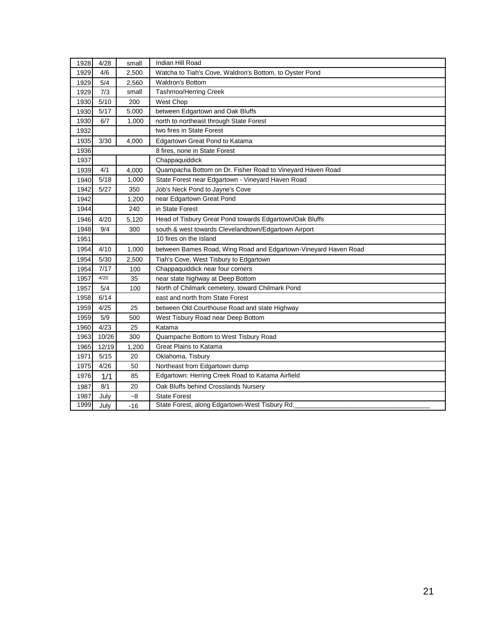| 1928 | 4/28  | small | Indian Hill Road                                                |  |  |  |  |  |
|------|-------|-------|-----------------------------------------------------------------|--|--|--|--|--|
| 1929 | 4/6   | 2,500 | Watcha to Tiah's Cove, Waldron's Bottom, to Oyster Pond         |  |  |  |  |  |
| 1929 | 5/4   | 2,560 | Waldron's Bottom                                                |  |  |  |  |  |
| 1929 | 7/3   | small | Tashmoo/Herring Creek                                           |  |  |  |  |  |
| 1930 | 5/10  | 200   | West Chop                                                       |  |  |  |  |  |
| 1930 | 5/17  | 5,000 | between Edgartown and Oak Bluffs                                |  |  |  |  |  |
| 1930 | 6/7   | 1,000 | north to northeast through State Forest                         |  |  |  |  |  |
| 1932 |       |       | two fires in State Forest                                       |  |  |  |  |  |
| 1935 | 3/30  | 4,000 | Edgartown Great Pond to Katama                                  |  |  |  |  |  |
| 1936 |       |       | 8 fires, none in State Forest                                   |  |  |  |  |  |
| 1937 |       |       | Chappaquiddick                                                  |  |  |  |  |  |
| 1939 | 4/1   | 4,000 | Quampacha Bottom on Dr. Fisher Road to Vineyard Haven Road      |  |  |  |  |  |
| 1940 | 5/18  | 1,000 | State Forest near Edgartown - Vineyard Haven Road               |  |  |  |  |  |
| 1942 | 5/27  | 350   | Job's Neck Pond to Jayne's Cove                                 |  |  |  |  |  |
| 1942 |       | 1,200 | near Edgartown Great Pond                                       |  |  |  |  |  |
| 1944 |       | 240   | in State Forest                                                 |  |  |  |  |  |
| 1946 | 4/20  | 5,120 | Head of Tisbury Great Pond towards Edgartown/Oak Bluffs         |  |  |  |  |  |
| 1948 | 9/4   | 300   | south & west towards Clevelandtown/Edgartown Airport            |  |  |  |  |  |
| 1951 |       |       | 10 fires on the Island                                          |  |  |  |  |  |
| 1954 | 4/10  | 1,000 | between Bames Road, Wing Road and Edgartown-Vineyard Haven Road |  |  |  |  |  |
| 1954 | 5/30  | 2,500 | Tiah's Cove, West Tisbury to Edgartown                          |  |  |  |  |  |
| 1954 | 7/17  | 100   | Chappaquiddick near four comers                                 |  |  |  |  |  |
| 1957 | 4/20  | 35    | near state highway at Deep Bottom                               |  |  |  |  |  |
| 1957 | 5/4   | 100   | North of Chilmark cemetery, toward Chilmark Pond                |  |  |  |  |  |
| 1958 | 6/14  |       | east and north from State Forest                                |  |  |  |  |  |
| 1959 | 4/25  | 25    | between Old Courthouse Road and state Highway                   |  |  |  |  |  |
| 1959 | 5/9   | 500   | West Tisbury Road near Deep Bottom                              |  |  |  |  |  |
| 1960 | 4/23  | 25    | Katama                                                          |  |  |  |  |  |
| 1963 | 10/26 | 300   | Quampache Bottom to West Tisbury Road                           |  |  |  |  |  |
| 1965 | 12/19 | 1,200 | <b>Great Plains to Katama</b>                                   |  |  |  |  |  |
| 1971 | 5/15  | 20    | Oklahoma, Tisbury                                               |  |  |  |  |  |
| 1975 | 4/26  | 50    | Northeast from Edgartown dump                                   |  |  |  |  |  |
| 1976 | 1/1   | 85    | Edgartown: Herring Creek Road to Katama Airfield                |  |  |  |  |  |
| 1987 | 8/1   | 20    | Oak Bluffs behind Crosslands Nursery                            |  |  |  |  |  |
| 1987 | July  | -8    | <b>State Forest</b>                                             |  |  |  |  |  |
| 1999 | July  | $-16$ | State Forest, along Edgartown-West Tisbury Rd.                  |  |  |  |  |  |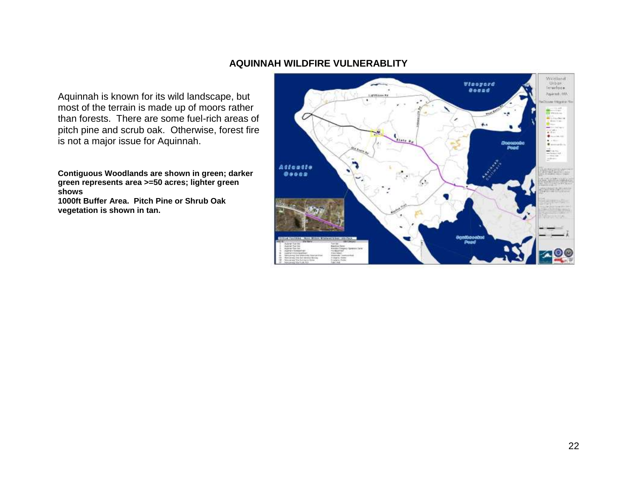#### **AQUINNAH WILDFIRE VULNERABLITY**

Aquinnah is known for its wild landscape, but most of the terrain is made up of moors rather than forests. There are some fuel-rich areas of pitch pine and scrub oak. Otherwise, forest fire is not a major issue for Aquinnah.

**Contiguous Woodlands are shown in green; darker green represents area >=50 acres; lighter green shows**

**1000ft Buffer Area. Pitch Pine or Shrub Oak vegetation is shown in tan.**

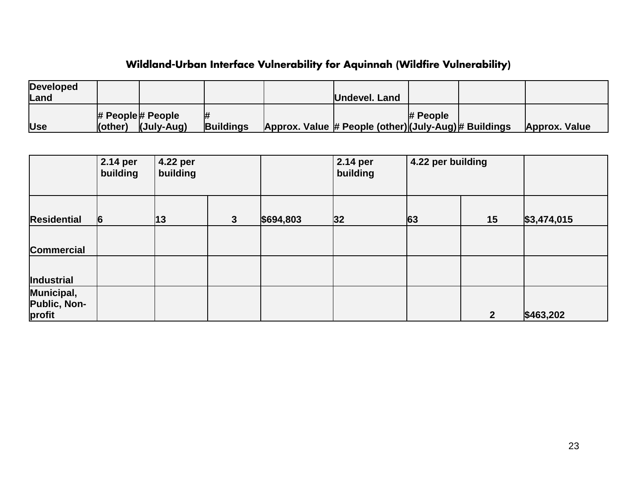## **Wildland-Urban Interface Vulnerability for Aquinnah (Wildfire Vulnerability)**

| <b>Developed</b> |         |                         |                  |                                                       |            |               |
|------------------|---------|-------------------------|------------------|-------------------------------------------------------|------------|---------------|
| Land             |         |                         |                  | Undevel. Land                                         |            |               |
|                  |         | $\#$ People $\#$ People |                  |                                                       | $#$ People |               |
| <b>Use</b>       | (other) | (July-Aug)              | <b>Buildings</b> | Approx. Value # People (other) (July-Aug) # Buildings |            | Approx. Value |

|                                             | 2.14 per<br>building | 4.22 per<br>building |              |           | 2.14 per<br>building | 4.22 per building |                |             |
|---------------------------------------------|----------------------|----------------------|--------------|-----------|----------------------|-------------------|----------------|-------------|
| <b>Residential</b>                          | 6                    | $ 13\rangle$         | $\mathbf{3}$ | \$694,803 | 32                   | 63                | 15             | \$3,474,015 |
| <b>Commercial</b>                           |                      |                      |              |           |                      |                   |                |             |
| Industrial                                  |                      |                      |              |           |                      |                   |                |             |
| Municipal,<br><b>Public, Non-</b><br>profit |                      |                      |              |           |                      |                   | $\overline{2}$ | \$463,202   |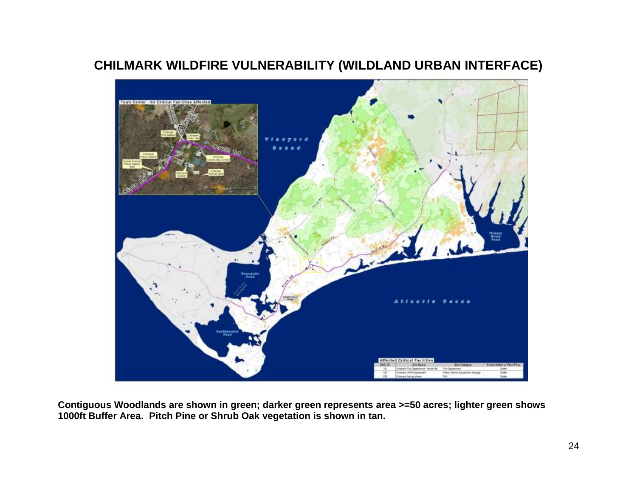### **CHILMARK WILDFIRE VULNERABILITY (WILDLAND URBAN INTERFACE)**



**Contiguous Woodlands are shown in green; darker green represents area >=50 acres; lighter green shows 1000ft Buffer Area. Pitch Pine or Shrub Oak vegetation is shown in tan.**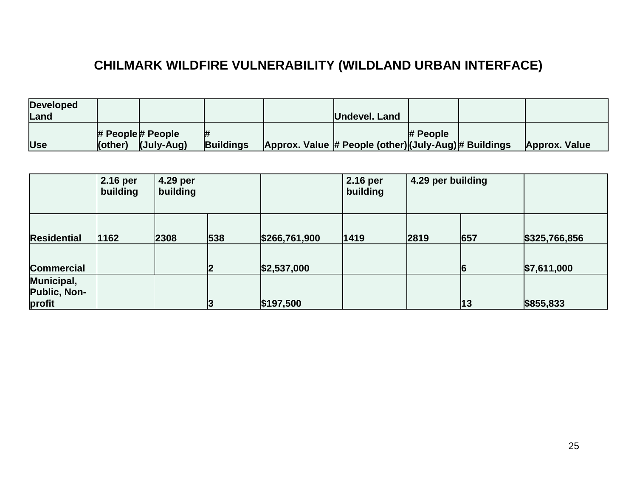# **CHILMARK WILDFIRE VULNERABILITY (WILDLAND URBAN INTERFACE)**

| <b>Developed</b> |         |                         |                  |                                                       |            |                      |
|------------------|---------|-------------------------|------------------|-------------------------------------------------------|------------|----------------------|
| <b>Land</b>      |         |                         |                  | Undevel. Land                                         |            |                      |
|                  |         | $\#$ People $\#$ People |                  |                                                       | $#$ People |                      |
| <b>Use</b>       | (other) | (July-Aug)              | <b>Buildings</b> | Approx. Value # People (other) (July-Aug) # Buildings |            | <b>Approx. Value</b> |

|                                   | 2.16 per<br>building | 4.29 per<br>building |     |               | 2.16 per<br>building | 4.29 per building |     |               |
|-----------------------------------|----------------------|----------------------|-----|---------------|----------------------|-------------------|-----|---------------|
| <b>Residential</b>                | 1162                 | 2308                 | 538 | \$266,761,900 | 1419                 | 2819              | 657 | \$325,766,856 |
| <b>Commercial</b>                 |                      |                      | כי  | \$2,537,000   |                      |                   | 6   | \$7,611,000   |
| Municipal,<br><b>Public, Non-</b> |                      |                      |     |               |                      |                   |     |               |
| profit                            |                      |                      |     | \$197,500     |                      |                   | 13  | \$855,833     |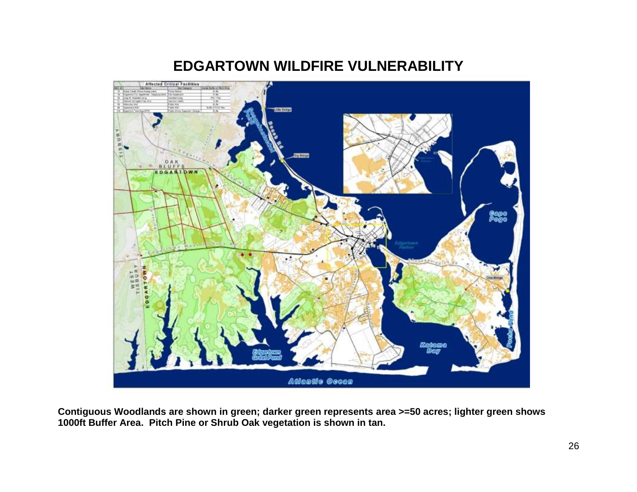

## **EDGARTOWN WILDFIRE VULNERABILITY**

**Contiguous Woodlands are shown in green; darker green represents area >=50 acres; lighter green shows 1000ft Buffer Area. Pitch Pine or Shrub Oak vegetation is shown in tan.**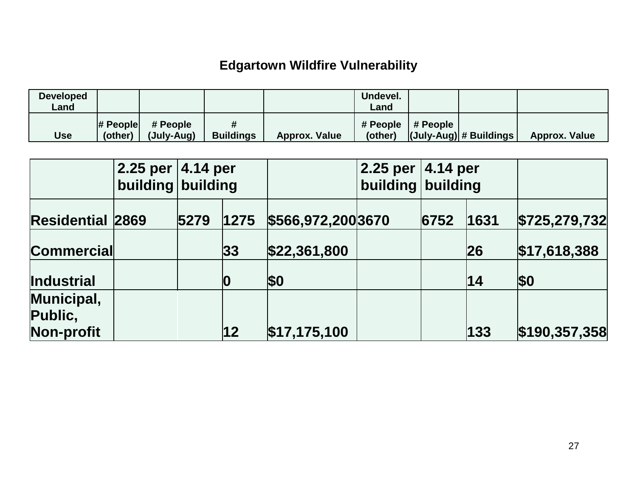# **Edgartown Wildfire Vulnerability**

| <b>Developed</b><br>∟and |         |                                       |                       |                      | Undevel.<br>∟and |                     |                         |                      |
|--------------------------|---------|---------------------------------------|-----------------------|----------------------|------------------|---------------------|-------------------------|----------------------|
| <b>Use</b>               | (other) | $\#$ People $\#$ People<br>(July-Aug) | #<br><b>Buildings</b> | <b>Approx. Value</b> | (other)          | # People   # People | (July-Aug)  # Buildings | <b>Approx. Value</b> |

|                         | $2.25$ per $ 4.14$ per<br>building building |              |                    | 2.25 per<br>building | 4.14 per<br>building |           |               |
|-------------------------|---------------------------------------------|--------------|--------------------|----------------------|----------------------|-----------|---------------|
| <b>Residential 2869</b> | 5279                                        | 1275         | \$566,972,200 3670 |                      | 6752                 | 1631      | \$725,279,732 |
| <b>Commercial</b>       |                                             | 33           | \$22,361,800       |                      |                      | <b>26</b> | \$17,618,388  |
| Industrial              |                                             | 10           | <b>\$0</b>         |                      |                      | 14        | <b>\$0</b>    |
| Municipal,<br>Public,   |                                             |              |                    |                      |                      |           |               |
| Non-profit              |                                             | $ 12\rangle$ | \$17, 175, 100     |                      |                      | 133       | \$190,357,358 |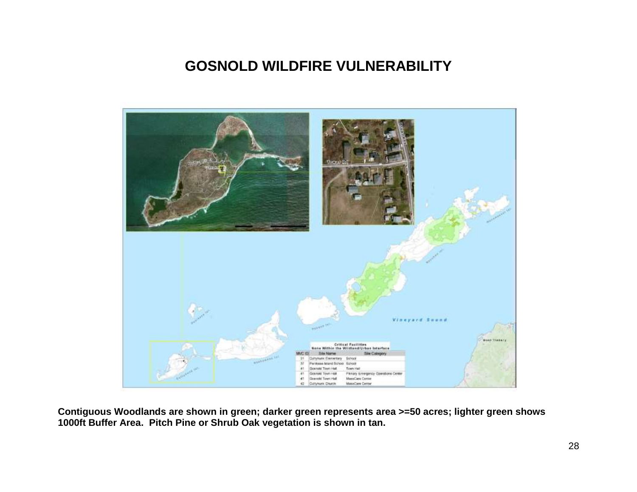## **GOSNOLD WILDFIRE VULNERABILITY**



**Contiguous Woodlands are shown in green; darker green represents area >=50 acres; lighter green shows 1000ft Buffer Area. Pitch Pine or Shrub Oak vegetation is shown in tan.**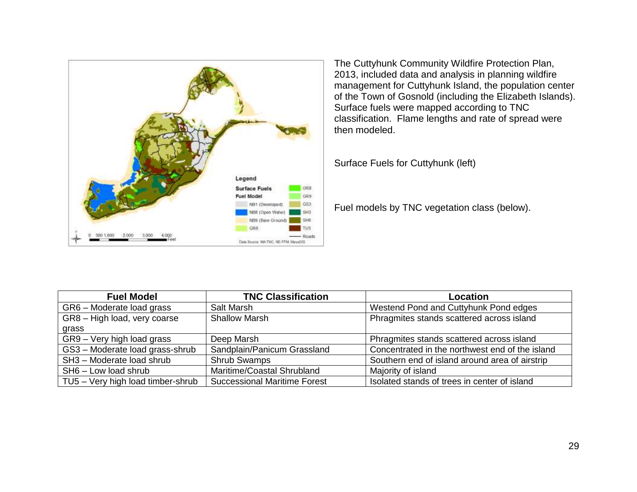

The Cuttyhunk Community Wildfire Protection Plan, 2013, included data and analysis in planning wildfire management for Cuttyhunk Island, the population center of the Town of Gosnold (including the Elizabeth Islands). Surface fuels were mapped according to TNC classification. Flame lengths and rate of spread were then modeled.

Surface Fuels for Cuttyhunk (left)

Fuel models by TNC vegetation class (below).

| <b>Fuel Model</b>                 | <b>TNC Classification</b>           | Location                                        |
|-----------------------------------|-------------------------------------|-------------------------------------------------|
| GR6 - Moderate load grass         | Salt Marsh                          | Westend Pond and Cuttyhunk Pond edges           |
| GR8 - High load, very coarse      | <b>Shallow Marsh</b>                | Phragmites stands scattered across island       |
| grass                             |                                     |                                                 |
| GR9 - Very high load grass        | Deep Marsh                          | Phragmites stands scattered across island       |
| GS3 - Moderate load grass-shrub   | Sandplain/Panicum Grassland         | Concentrated in the northwest end of the island |
| SH3 - Moderate load shrub         | <b>Shrub Swamps</b>                 | Southern end of island around area of airstrip  |
| SH6 - Low load shrub              | Maritime/Coastal Shrubland          | Majority of island                              |
| TU5 - Very high load timber-shrub | <b>Successional Maritime Forest</b> | Isolated stands of trees in center of island    |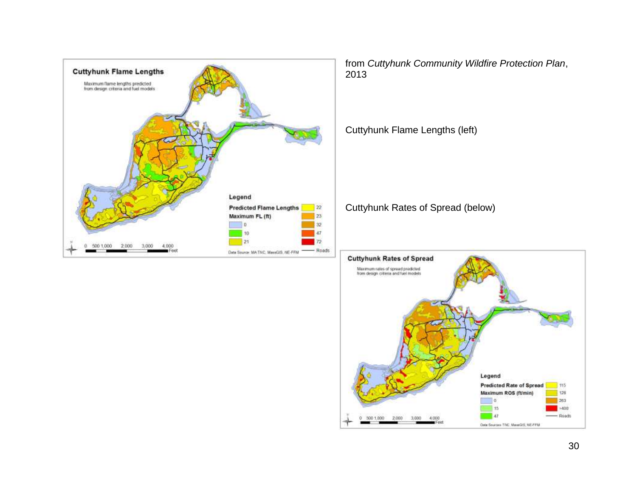

 $0$  500 1,000 2,000

3,000 4,000

128

 $263$ 

 $\rightarrow 400$ 

 $-$  Roads

Maximum ROS (ft/min) Πe

Data Sources TNC, MaseGIS, NE-FFM

15

 $-47$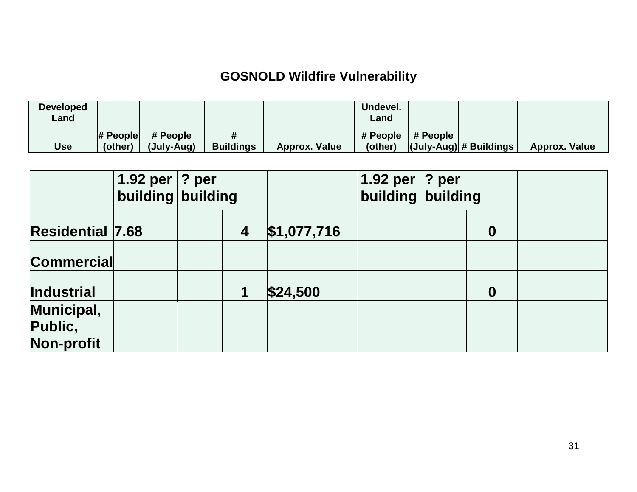# **GOSNOLD Wildfire Vulnerability**

| <b>Developed</b><br>Land |                        |                        |                       |                      | Undevel.<br>∟and               |                         |               |
|--------------------------|------------------------|------------------------|-----------------------|----------------------|--------------------------------|-------------------------|---------------|
| Use                      | $\#$ People<br>(other) | # People<br>(July-Aug) | #<br><b>Buildings</b> | <b>Approx. Value</b> | # People   # People<br>(other) | (July-Aug)  # Buildings | Approx. Value |

|                                     | 1.92 per<br>building building | ? per |                  |             | 1.92 per<br>building building | ? per |                  |  |
|-------------------------------------|-------------------------------|-------|------------------|-------------|-------------------------------|-------|------------------|--|
| <b>Residential 7.68</b>             |                               |       | $\boldsymbol{4}$ | \$1,077,716 |                               |       | $\boldsymbol{0}$ |  |
| <b>Commercial</b>                   |                               |       |                  |             |                               |       |                  |  |
| Industrial                          |                               |       | 1                | \$24,500    |                               |       | $\boldsymbol{0}$ |  |
| Municipal,<br>Public,<br>Non-profit |                               |       |                  |             |                               |       |                  |  |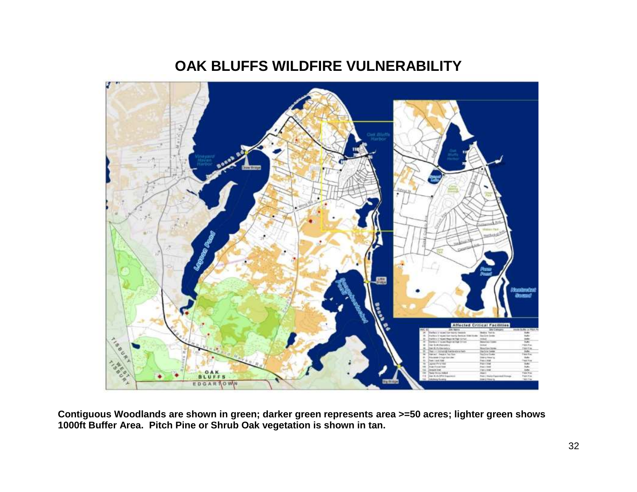# **OAK BLUFFS WILDFIRE VULNERABILITY**



**Contiguous Woodlands are shown in green; darker green represents area >=50 acres; lighter green shows 1000ft Buffer Area. Pitch Pine or Shrub Oak vegetation is shown in tan.**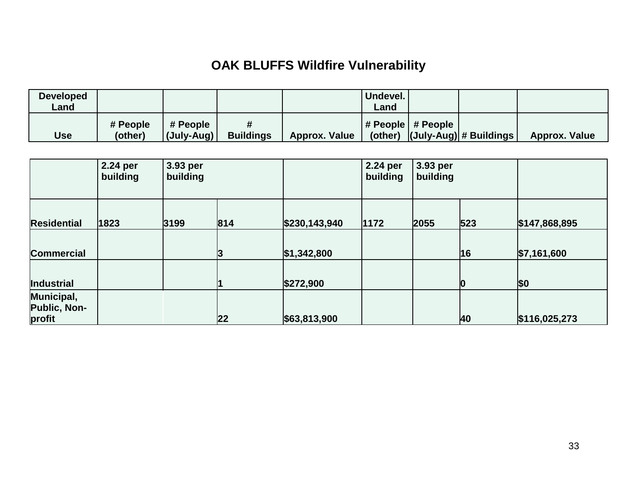# **OAK BLUFFS Wildfire Vulnerability**

| <b>Developed</b><br>∟and |                     |                                |                  |               | Undevel.<br>Land |                                   |                                            |                      |
|--------------------------|---------------------|--------------------------------|------------------|---------------|------------------|-----------------------------------|--------------------------------------------|----------------------|
| Use                      | # People<br>(other) | # People<br>$ $ (July-Aug) $ $ | <b>Buildings</b> | Approx. Value |                  | $\vert$ # People $\vert$ # People | (other) $ $ (July-Aug) $ $ # Buildings $ $ | <b>Approx. Value</b> |

| <b>Residential</b>                          | 2.24 per<br>building | 3.93 per<br>building |     |               | 2.24 per<br>building | 3.93 per<br>building |          |               |
|---------------------------------------------|----------------------|----------------------|-----|---------------|----------------------|----------------------|----------|---------------|
|                                             | 1823                 | 3199                 | 814 | \$230,143,940 | 1172                 | 2055                 | 523      | \$147,868,895 |
| <b>Commercial</b>                           |                      |                      | 3   | \$1,342,800   |                      |                      | 16       | \$7,161,600   |
| Industrial                                  |                      |                      |     | \$272,900     |                      |                      | $\bf{0}$ | \$0           |
| Municipal,<br><b>Public, Non-</b><br>profit |                      |                      | 22  | \$63,813,900  |                      |                      | 40       | \$116,025,273 |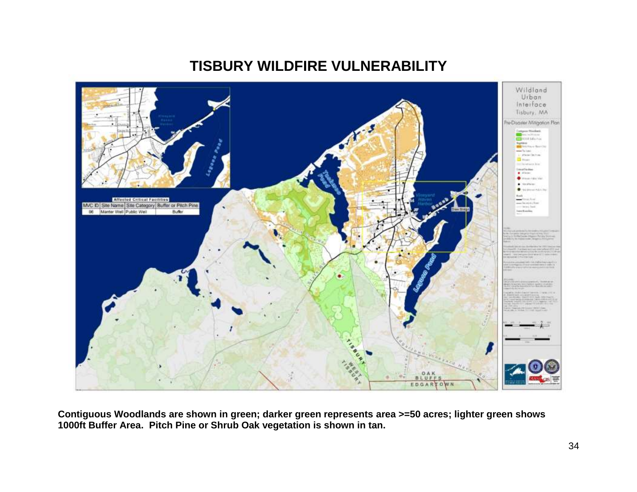# **TISBURY WILDFIRE VULNERABILITY**



**Contiguous Woodlands are shown in green; darker green represents area >=50 acres; lighter green shows 1000ft Buffer Area. Pitch Pine or Shrub Oak vegetation is shown in tan.**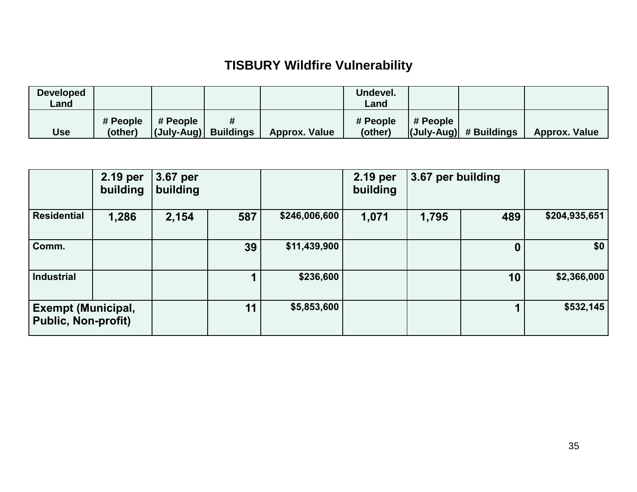## **TISBURY Wildfire Vulnerability**

| <b>Developed</b><br>Land |                     |                      |                      | Undevel.<br>Land    |          |                         |                      |
|--------------------------|---------------------|----------------------|----------------------|---------------------|----------|-------------------------|----------------------|
| Use                      | # People<br>(other) | $\parallel$ # People | <b>Approx. Value</b> | # People<br>(other) | # People | (July-Aug)  # Buildings | <b>Approx. Value</b> |

|                                                         | 2.19 per<br>building | 3.67 per<br>building |     |               | 2.19 per<br>building | 3.67 per building |     |               |
|---------------------------------------------------------|----------------------|----------------------|-----|---------------|----------------------|-------------------|-----|---------------|
| <b>Residential</b>                                      | 1,286                | 2,154                | 587 | \$246,006,600 | 1,071                | 1,795             | 489 | \$204,935,651 |
| Comm.                                                   |                      |                      | 39  | \$11,439,900  |                      |                   |     | \$0           |
| <b>Industrial</b>                                       |                      |                      |     | \$236,600     |                      |                   | 10  | \$2,366,000   |
| <b>Exempt (Municipal,</b><br><b>Public, Non-profit)</b> |                      |                      | 11  | \$5,853,600   |                      |                   |     | \$532,145     |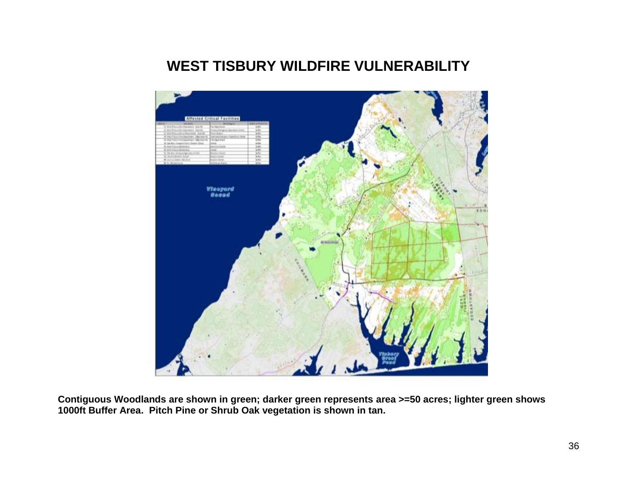# **WEST TISBURY WILDFIRE VULNERABILITY**



**Contiguous Woodlands are shown in green; darker green represents area >=50 acres; lighter green shows 1000ft Buffer Area. Pitch Pine or Shrub Oak vegetation is shown in tan.**